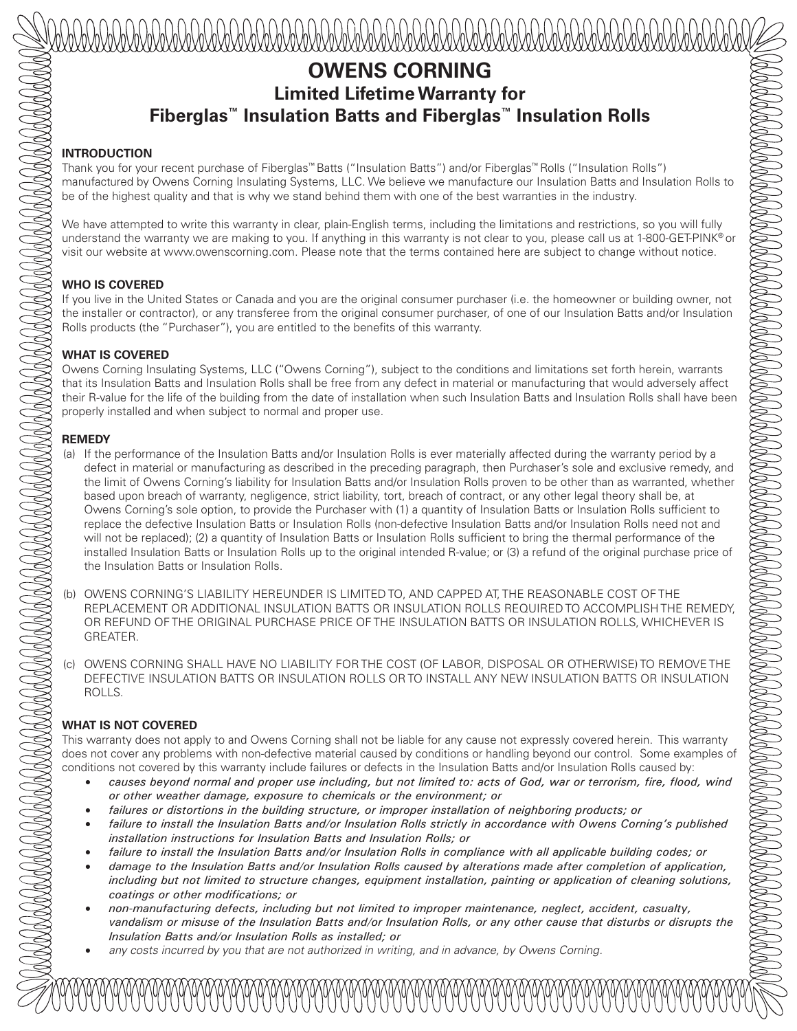# **OWENS CORNING Limited Lifetime Warranty for Fiberglas™ Insulation Batts and Fiberglas™ Insulation Rolls**

#### **INTRODUCTION**

Thank you for your recent purchase of Fiberglas™ Batts ("Insulation Batts") and/or Fiberglas™ Rolls ("Insulation Rolls") manufactured by Owens Corning Insulating Systems, LLC. We believe we manufacture our Insulation Batts and Insulation Rolls to be of the highest quality and that is why we stand behind them with one of the best warranties in the industry.

We have attempted to write this warranty in clear, plain-English terms, including the limitations and restrictions, so you will fully understand the warranty we are making to you. If anything in this warranty is not clear to you, please call us at 1-800-GET-PINK® or visit our website at www.owenscorning.com. Please note that the terms contained here are subject to change without notice.

### **WHO IS COVERED**

If you live in the United States or Canada and you are the original consumer purchaser (i.e. the homeowner or building owner, not the installer or contractor), or any transferee from the original consumer purchaser, of one of our Insulation Batts and/or Insulation Rolls products (the "Purchaser"), you are entitled to the benefits of this warranty.

# **WHAT IS COVERED**

Owens Corning Insulating Systems, LLC ("Owens Corning"), subject to the conditions and limitations set forth herein, warrants that its Insulation Batts and Insulation Rolls shall be free from any defect in material or manufacturing that would adversely affect their R-value for the life of the building from the date of installation when such Insulation Batts and Insulation Rolls shall have been properly installed and when subject to normal and proper use.

# **REMEDY**

- (a) If the performance of the Insulation Batts and/or Insulation Rolls is ever materially affected during the warranty period by a defect in material or manufacturing as described in the preceding paragraph, then Purchaser's sole and exclusive remedy, and the limit of Owens Corning's liability for Insulation Batts and/or Insulation Rolls proven to be other than as warranted, whether based upon breach of warranty, negligence, strict liability, tort, breach of contract, or any other legal theory shall be, at Owens Corning's sole option, to provide the Purchaser with (1) a quantity of Insulation Batts or Insulation Rolls sufficient to replace the defective Insulation Batts or Insulation Rolls (non-defective Insulation Batts and/or Insulation Rolls need not and will not be replaced); (2) a quantity of Insulation Batts or Insulation Rolls sufficient to bring the thermal performance of the installed Insulation Batts or Insulation Rolls up to the original intended R-value; or (3) a refund of the original purchase price of the Insulation Batts or Insulation Rolls.
- (b) OWENS CORNING'S LIABILITY HEREUNDER IS LIMITED TO, AND CAPPED AT, THE REASONABLE COST OF THE REPLACEMENT OR ADDITIONAL INSULATION BATTS OR INSULATION ROLLS REQUIRED TO ACCOMPLISH THE REMEDY, OR REFUND OF THE ORIGINAL PURCHASE PRICE OF THE INSULATION BATTS OR INSULATION ROLLS, WHICHEVER IS GREATER.
- (c) OWENS CORNING SHALL HAVE NO LIABILITY FOR THE COST (OF LABOR, DISPOSAL OR OTHERWISE) TO REMOVE THE DEFECTIVE INSULATION BATTS OR INSULATION ROLLS OR TO INSTALL ANY NEW INSULATION BATTS OR INSULATION ROLLS.

# **WHAT IS NOT COVERED**

This warranty does not apply to and Owens Corning shall not be liable for any cause not expressly covered herein. This warranty does not cover any problems with non-defective material caused by conditions or handling beyond our control. Some examples of conditions not covered by this warranty include failures or defects in the Insulation Batts and/or Insulation Rolls caused by:

- *causes beyond normal and proper use including, but not limited to: acts of God, war or terrorism, fire, flood, wind or other weather damage, exposure to chemicals or the environment; or*
- *failures or distortions in the building structure, or improper installation of neighboring products; or*
- *failure to install the Insulation Batts and/or Insulation Rolls strictly in accordance with Owens Corning's published installation instructions for Insulation Batts and Insulation Rolls; or*
- *failure to install the Insulation Batts and/or Insulation Rolls in compliance with all applicable building codes; or*
- *damage to the Insulation Batts and/or Insulation Rolls caused by alterations made after completion of application, including but not limited to structure changes, equipment installation, painting or application of cleaning solutions, coatings or other modifications; or*
- *non-manufacturing defects, including but not limited to improper maintenance, neglect, accident, casualty, vandalism or misuse of the Insulation Batts and/or Insulation Rolls, or any other cause that disturbs or disrupts the Insulation Batts and/or Insulation Rolls as installed; or*
- *any costs incurred by you that are not authorized in writing, and in advance, by Owens Corning.*